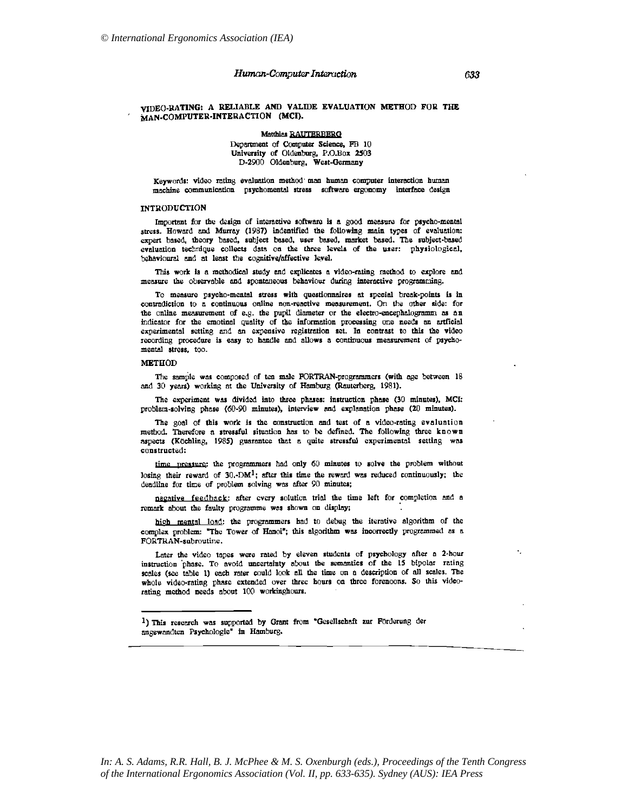# Human-Computer Interaction

# VIDEO-RATING: A RELIABLE AND VALIDE EVALUATION METHOD FOR THE MAN-COMPUTER-INTERACTION (MCI).

Matthias RAUTERBERG Department of Computer Science, FB 10 University of Oldenburg, P.O.Box 2503 D-2900 Oldenburg, West-Germany

Keywords: video rating evaluation method man human computer interaction human machine communication psychomental stress software ergonomy interface design

## **INTRODUCTION**

Important for the design of interactive software is a good measure for psycho-mental stress. Howard and Murray (1987) indentified the following main types of evaluation: expert based, theory based, subject based, user based, market based. The subject-based evaluation technique collects data on the three levels of the user: physiological, behavioural and at least the cognitive/affective level.

This work is a methodical study and explicates a video-rating method to explore and measure the observable and spontaneous behaviour during interactive programming.

To measure psycho-mental stress with questionnaires at special break-points is in contradiction to a continuous online non-reactive measurement. On the other side: for the online measurement of e.g. the pupil diameter or the electro-encephalogramm as an indicator for the emotinal quality of the information processing one needs an artficial experimental setting and an expensive registration set. In contrast to this the video recording procedure is easy to handle and allows a continuous measurement of psychomental stress, too.

## **METHOD**

The sample was composed of ten male FORTRAN-programmers (with age between 18 and 30 years) working at the University of Hamburg (Rauterberg, 1981).

The experiment was divided into three phases: instruction phase (30 minutes), MCI: problem-solving phase (60-90 minutes), interview and explanation phase (20 minutes).

The goal of this work is the construction and test of a video-rating evaluation method. Therefore a stressful situation has to be defined. The following three known aspects (Köchling, 1985) guarantee that a quite stressful experimental setting was constructed:

time pressure: the programmers had only 60 minutes to solve the problem without losing their reward of  $30$ . DM<sup>1</sup>; after this time the reward was reduced continuously; the deadline for time of problem solving was after 90 minutes;

negative feedback: after every solution trial the time left for completion and a remark about the faulty programme was shown on display;

high mental load: the programmers had to debug the iterative algorithm of the complex problem: "The Tower of Hanoi"; this algorithm was incorrectly programmed as a FORTRAN-subroutine.

Later the video tapes were rated by eleven students of psychology after a 2-hour instruction phase. To avoid uncertainty about the semantics of the 15 bipolar rating scales (see table 1) each rater could look all the time on a description of all scales. The whole video-rating phase extended over three hours on three forenoons. So this videorating method needs about 100 workinghours.

<sup>1)</sup> This research was supported by Grant from "Gesellschaft zur Förderung der angewandten Psychologie" in Hamburg.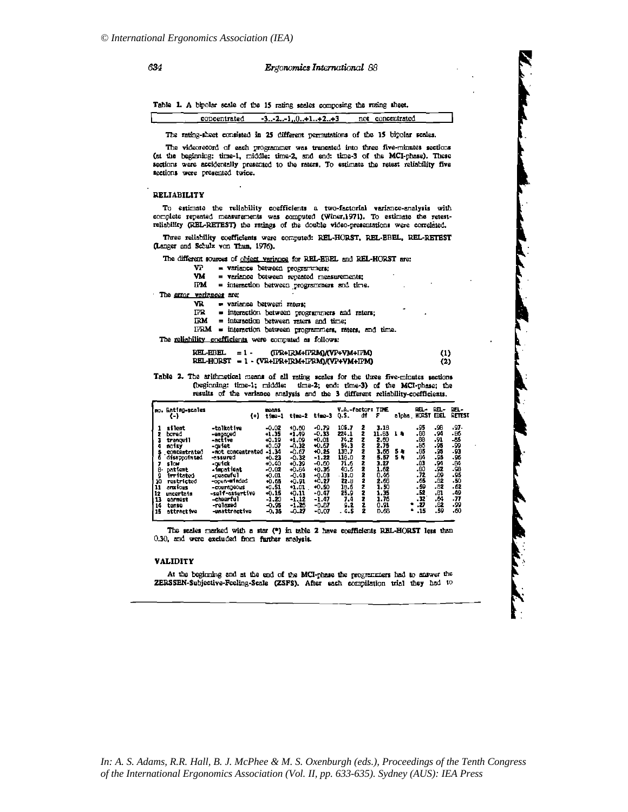## Ergonomics International 88

Table 1. A bipolar scale of the 15 rating scales composing the ruting sheet.

concentrated  $-3...-2...1...0...+1...+2...+3$ not concentrated

The rating-sheet consisted in 25 different permutations of the 15 bipolar scales.

The videorecord of each programmer was trancated into three five-minutes sections (at the beginning: time-1, middle: time-2, and end: time-3 of the MCI-phase). These sections were accidentally presented to the raters. To estimate the retest reliability five sections were presented twice.

## **RELIABILITY**

To estimate the reliability coefficients a two-factorial variance-analysis with complete repeated measurements was computed (Winer,1971). To estimate the retestreliability (REL-RETEST) the ratings of the double video-presentations were correlated.

Three reliability coefficients were computed: REL-HORST, REL-EBEL, REL-RETEST (Langer and Schulz von Thun, 1976).

The different sources of object variance for REL-EBEL and REL-HORST are:

| VΡ |  |  |  | $=$ variance between programmers; |
|----|--|--|--|-----------------------------------|
|----|--|--|--|-----------------------------------|

VM = variance between repeated measurements;

 $IPM$  = interaction between programmers and time.

The error variances are:

VR. = variance between raters;

- = interaction between programmers and raters; **ITR**
- $\mathbb{R}M$  = interaction between raters and time;

IFRM = interaction between programmers, raters, and time.

The reliability coefficients were computed as follows:

#### $REL-EBEL = 1 -$ (IFR+IRM+IFRM)/(VP+VM+IFM)  $(1)$ REL-HORST = 1 - (VR+IFR+IRM+IFRM)/(VP+VM+IPM)  $(2)$

Table 2. The arithmetical means of all rating scales for the three five-minutes sections (beginning: time-1; middle: time-2; end: time-3) of the MCI-phase; the results of the variance analysis and the 3 different reliability-coefficients.

|                                                       | no. Rating-scales<br>$\left( -\right)$                                                                                                                                                | 0                                                                                                                                                                                                              | reans<br>time-1                                                                                                                                                   | time-2                                                                                                                                                          | time-3                                                                                                                                                      | V.A.-factor: TIME<br>0.S.                                                                                                 | đf                                                                      | F                                                                                                                     | alpha.            | REL-<br>HORST EBEL                                                                                        | REL-                                                                                                       | REL-<br>RETEST                                                                                                   |
|-------------------------------------------------------|---------------------------------------------------------------------------------------------------------------------------------------------------------------------------------------|----------------------------------------------------------------------------------------------------------------------------------------------------------------------------------------------------------------|-------------------------------------------------------------------------------------------------------------------------------------------------------------------|-----------------------------------------------------------------------------------------------------------------------------------------------------------------|-------------------------------------------------------------------------------------------------------------------------------------------------------------|---------------------------------------------------------------------------------------------------------------------------|-------------------------------------------------------------------------|-----------------------------------------------------------------------------------------------------------------------|-------------------|-----------------------------------------------------------------------------------------------------------|------------------------------------------------------------------------------------------------------------|------------------------------------------------------------------------------------------------------------------|
| 7<br>4<br>я.<br>9<br>10<br>11<br>12<br>13<br>14<br>15 | silent<br>bored<br>trancull<br>ac isy<br>concentrated<br>disappointed<br>slow<br>patient<br>irritated<br><b>restricted</b><br>anxious<br>uncertain<br>earnest<br>tanse<br>attract ive | -talkativa<br>-engaged<br>-active<br>-ariet<br>-not concentrated<br>-assured<br>-a ick<br>-froat ient<br>-peaceful<br>-ocen-aladed<br>-courageous<br>-salf-assertive<br>-cheerful<br>-relaxed<br>-unattractive | $-0.02$<br>$-1.35$<br>$-0.19$<br>$+0.07$<br>$-1.34$<br>$+0.23$<br>$+0.40$<br>$-0.02$<br>$+0.01$<br>$+0.55$<br>$+0.51$<br>$-0.15$<br>$-1.20$<br>$-0.95$<br>$-0.35$ | 40.60<br>$+1.49$<br>$+1.09$<br>$-0.32$<br>$-0.67$<br>$-0.32$<br>$+0.39$<br>$+0.84$<br>$-0.43$<br>$+0.91$<br>$+1.01$<br>$^{+0.11}$<br>$-1.12$<br>$-1.25$<br>-527 | -0.79<br>$-0.33$<br>$+0.01$<br>$+0.67$<br>$+0.25$<br>$-1.22$<br>$-0.50$<br>$+0.36$<br>$-0.03$<br>-0.27<br>$+0.50$<br>$-0.47$<br>$-1.47$<br>-0.87<br>$-0.07$ | 105.7<br>224.1<br>74.2<br>54.3<br>138.7<br>116.0<br>71.6<br>40.6<br>- 13.0<br>22.3<br>18.6<br>25.9<br>7.4<br>9.2<br>. 4.5 | 2<br>2<br>2<br>2<br>2<br>2<br>2<br>2<br>2<br>2<br>2<br>2<br>2<br>2<br>2 | 3.18<br>11.63<br>2.60<br>2.75<br>3.65<br>5.57<br>3.27<br>1.62<br>0.46<br>2.66<br>1.50<br>1.35<br>1.76<br>0.91<br>0.68 | 1.3<br>5 +<br>5 % | . 95<br>.œ<br>.es<br>-86<br>.85<br>-84<br>.83<br>-80<br>.72<br>.65<br>. 59<br>- 52<br>. 32<br>. 27<br>.15 | -98<br>. 94<br>-91<br>. 95<br>.95<br>- 95<br>.94<br>-92<br>-89<br>-82<br>- 82<br>.в.<br>-64<br>.82<br>- 59 | . 97.<br>- 86<br>-55<br>- 99<br>- 93<br>- 96<br>-84<br>- 98<br>- 95<br>- 50<br>- 62<br>-49<br>. 77<br>-99<br>.60 |

The scales marked with a star (\*) in table 2 have coefficients REL-HORST less than 0.30, and were excluded from further analysis.

### **VALIDITY**

At the beginning and at the end of the MCI-phase the programmers had to answer the ZERSSEN-Subjective-Feeling-Scale (ZSFS). After each compilation trial they had to

634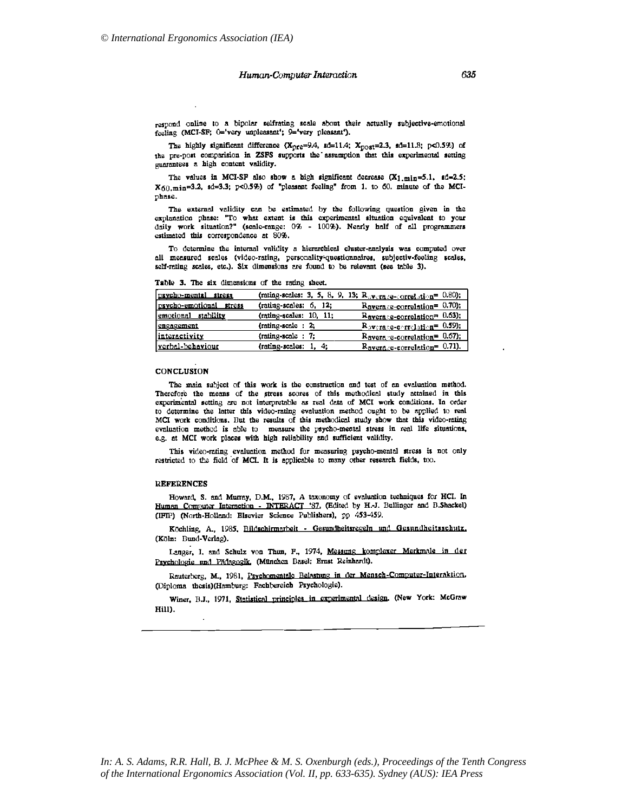respond online to a bipolar selfrating scale about their actually subjective-emotional feeling (MCI-SF; 0='very unpleasant'; 9='very pleasant').

The highly significant difference (X<sub>pre</sub>=9.4, sd=11.4; X<sub>post</sub>=2.3, sd=11.8; p<0.5%) of the pre-post comparision in ZSFS supports the assumption that this experimental setting guarantees a high content validity.

The values in MCI-SP also show a high significant decrease  $(X_1,min=5.1, sd=2.5;$  $X_{60,\text{min}}$ =3.2, sd=3.3; p<0.5%) of "pleasant feeling" from 1. to 60. minute of the MCIphase.

The external validity can be estimated by the following question given in the explanation phase: "To what extent is this experimental situation equivalent to your daily work situation?" (scale-range:  $0\%$  - 100%). Nearly half of all programmers estimated this correspondence at 80%.

To determine the internal validity a hierarchical cluster-analysis was computed over all measured scales (video-rating, personality-questionnaires, subjectiv-feeling scales, self-rating scales, etc.). Six dimensions are found to be relevant (see table 3).

| psycho-mental stress    |                           | (rating-scales: 3, 5, 8, 9, 13; $R_{\text{cV}\text{y}+\text{rq},2e-\text{correl},\text{trig}}=0.80$ ); |
|-------------------------|---------------------------|--------------------------------------------------------------------------------------------------------|
| psycho-emotional stress | (rating-scales: 6, 12;    | $Raverage-correlation = 0.70;$                                                                         |
| emotional stability     | $(rating-scales: 10, 11;$ | $Raverage-correlation = 0.63$ :                                                                        |
| <b>cngagement</b>       | (rating-scale: 2;         | Raverage-correlation= 0.59);                                                                           |
| interactivity           | $(rating-scale : 7;$      | $R$ avera e-correlation <sup>= 0.67</sup> );                                                           |
| verbal-behaviour        | (rating-scales: 1, 4;     | $Ravera.e-correlation = 0.71$ ).                                                                       |

Table 3. The six dimensions of the rating sheet.

## **CONCLUSION**

The main subject of this work is the construction and test of an evaluation method. Therefore the means of the stress scores of this methodical study attained in this experimental setting are not interpretable as real data of MCI work conditions. In order to determine the latter this video-rating evaluation method ought to be applied to real MCI work conditions. But the results of this methodical study show that this video-rating evaluation method is able to measure the psycho-mental stress in real life situations, e.g. at MCI work places with high reliability and sufficient validity,

This video-rating evaluation method for measuring psycho-mental stress is not only restricted to the field of MCI. It is applicable to many other research fields, too.

## **REFERENCES**

Howard, S. and Murray, D.M., 1987, A taxonomy of evaluation techniques for HCI. In Human Computer Interaction - INTERACT '87, (Edited by H.-J. Bullinger and B.Shackel) (IFIP) (North-Holland: Elsevier Science Publishers), pp 453-459.

Köchling, A., 1985, Bildschirmarbeit - Gesundheitsregeln und Gesundheitsschutz. (Köln: Bund-Verlag).

Langer, I. and Schulz von Thun, F., 1974, Messung komplexer Merkmale in der Psychologie und Pädagogik, (München Basel: Ernst Reinhardt).

Rauterberg, M., 1981, Psychomentale Belastung in der Mensch-Computer-Interaktion, (Diploma thesis)(Hamburg: Fachbereich Psychologie).

Winer, B.J., 1971, Statistical principles in experimental design, (New York: McGraw Hill).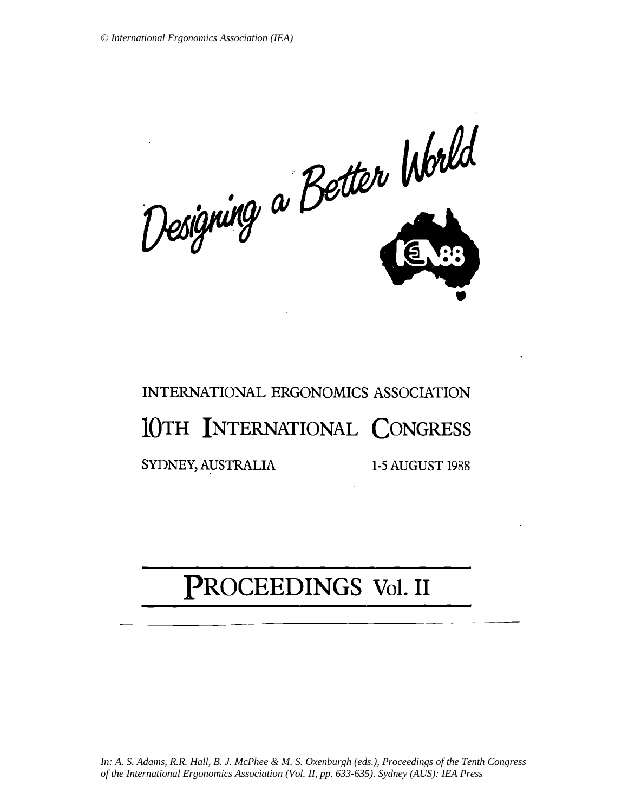Designing a Better World

# INTERNATIONAL ERGONOMICS ASSOCIATION 10TH INTERNATIONAL CONGRESS SYDNEY, AUSTRALIA 1-5 AUGUST 1988

# PROCEEDINGS Vol. II